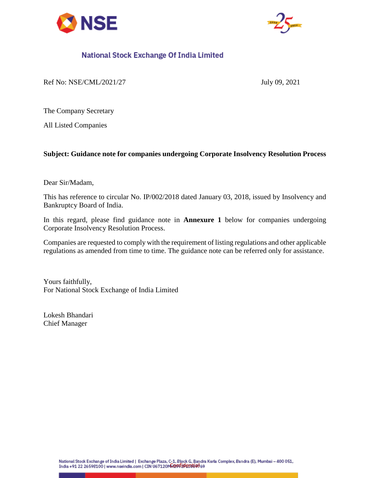



# National Stock Exchange Of India Limited

Ref No: NSE/CML/2021/27 July 09, 2021

The Company Secretary

All Listed Companies

### **Subject: Guidance note for companies undergoing Corporate Insolvency Resolution Process**

Dear Sir/Madam,

This has reference to circular No. IP/002/2018 dated January 03, 2018, issued by Insolvency and Bankruptcy Board of India.

In this regard, please find guidance note in **Annexure 1** below for companies undergoing Corporate Insolvency Resolution Process.

Companies are requested to comply with the requirement of listing regulations and other applicable regulations as amended from time to time. The guidance note can be referred only for assistance.

Yours faithfully, For National Stock Exchange of India Limited

Lokesh Bhandari Chief Manager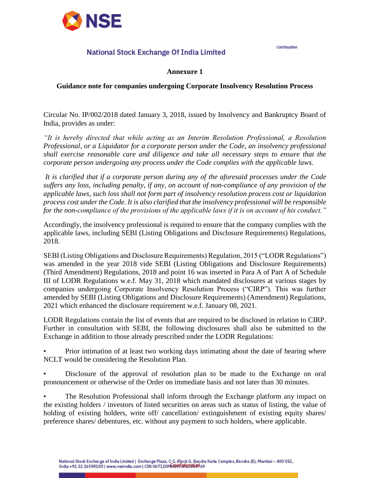

## National Stock Exchange Of India Limited

#### **Annexure 1**

Continuation

#### **Guidance note for companies undergoing Corporate Insolvency Resolution Process**

Circular No. IP/002/2018 dated January 3, 2018, issued by Insolvency and Bankruptcy Board of India, provides as under:

*"It is hereby directed that while acting as an Interim Resolution Professional, a Resolution Professional, or a Liquidator for a corporate person under the Code, an insolvency professional shall exercise reasonable care and diligence and take all necessary steps to ensure that the corporate person undergoing any process under the Code complies with the applicable laws.* 

*It is clarified that if a corporate person during any of the aforesaid processes under the Code suffers any loss, including penalty, if any, on account of non-compliance of any provision of the applicable laws, such loss shall not form part of insolvency resolution process cost or liquidation process cost under the Code. It is also clarified that the insolvency professional will be responsible for the non-compliance of the provisions of the applicable laws if it is on account of his conduct."*

Accordingly, the insolvency professional is required to ensure that the company complies with the applicable laws, including SEBI (Listing Obligations and Disclosure Requirements) Regulations, 2018.

SEBI (Listing Obligations and Disclosure Requirements) Regulation, 2015 ("LODR Regulations") was amended in the year 2018 vide SEBI (Listing Obligations and Disclosure Requirements) (Third Amendment) Regulations, 2018 and point 16 was inserted in Para A of Part A of Schedule III of LODR Regulations w.e.f. May 31, 2018 which mandated disclosures at various stages by companies undergoing Corporate Insolvency Resolution Process ("CIRP"). This was further amended by SEBI (Listing Obligations and Disclosure Requirements) (Amendment) Regulations, 2021 which enhanced the disclosure requirement w.e.f. January 08, 2021.

LODR Regulations contain the list of events that are required to be disclosed in relation to CIRP. Further in consultation with SEBI, the following disclosures shall also be submitted to the Exchange in addition to those already prescribed under the LODR Regulations:

Prior intimation of at least two working days intimating about the date of hearing where NCLT would be considering the Resolution Plan.

• Disclosure of the approval of resolution plan to be made to the Exchange on oral pronouncement or otherwise of the Order on immediate basis and not later than 30 minutes.

• The Resolution Professional shall inform through the Exchange platform any impact on the existing holders / investors of listed securities on areas such as status of listing, the value of holding of existing holders, write off/ cancellation/ extinguishment of existing equity shares/ preference shares/ debentures, etc. without any payment to such holders, where applicable.